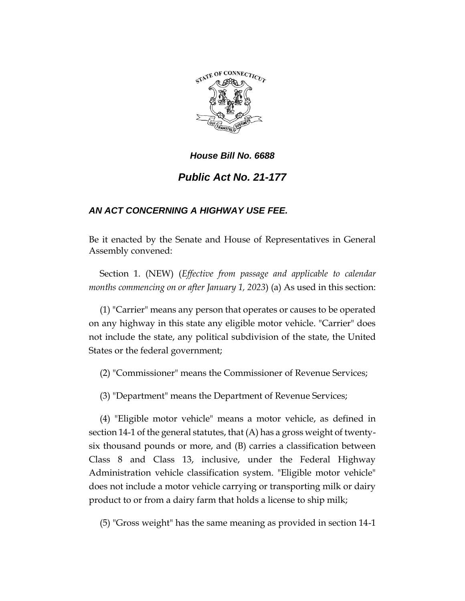

# *House Bill No. 6688 Public Act No. 21-177*

# *AN ACT CONCERNING A HIGHWAY USE FEE.*

Be it enacted by the Senate and House of Representatives in General Assembly convened:

Section 1. (NEW) (*Effective from passage and applicable to calendar months commencing on or after January 1, 2023*) (a) As used in this section:

(1) "Carrier" means any person that operates or causes to be operated on any highway in this state any eligible motor vehicle. "Carrier" does not include the state, any political subdivision of the state, the United States or the federal government;

(2) "Commissioner" means the Commissioner of Revenue Services;

(3) "Department" means the Department of Revenue Services;

(4) "Eligible motor vehicle" means a motor vehicle, as defined in section 14-1 of the general statutes, that (A) has a gross weight of twentysix thousand pounds or more, and (B) carries a classification between Class 8 and Class 13, inclusive, under the Federal Highway Administration vehicle classification system. "Eligible motor vehicle" does not include a motor vehicle carrying or transporting milk or dairy product to or from a dairy farm that holds a license to ship milk;

(5) "Gross weight" has the same meaning as provided in section 14-1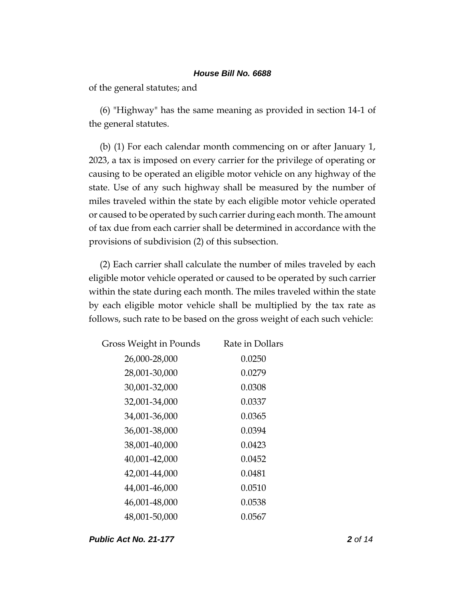of the general statutes; and

(6) "Highway" has the same meaning as provided in section 14-1 of the general statutes.

(b) (1) For each calendar month commencing on or after January 1, 2023, a tax is imposed on every carrier for the privilege of operating or causing to be operated an eligible motor vehicle on any highway of the state. Use of any such highway shall be measured by the number of miles traveled within the state by each eligible motor vehicle operated or caused to be operated by such carrier during each month. The amount of tax due from each carrier shall be determined in accordance with the provisions of subdivision (2) of this subsection.

(2) Each carrier shall calculate the number of miles traveled by each eligible motor vehicle operated or caused to be operated by such carrier within the state during each month. The miles traveled within the state by each eligible motor vehicle shall be multiplied by the tax rate as follows, such rate to be based on the gross weight of each such vehicle:

| Gross Weight in Pounds | Rate in Dollars |
|------------------------|-----------------|
| 26,000-28,000          | 0.0250          |
| 28,001-30,000          | 0.0279          |
| 30,001-32,000          | 0.0308          |
| 32,001-34,000          | 0.0337          |
| 34,001-36,000          | 0.0365          |
| 36,001-38,000          | 0.0394          |
| 38,001-40,000          | 0.0423          |
| 40,001-42,000          | 0.0452          |
| 42,001-44,000          | 0.0481          |
| 44,001-46,000          | 0.0510          |
| 46,001-48,000          | 0.0538          |
| 48,001-50,000          | 0.0567          |

*Public Act No. 21-177 2 of 14*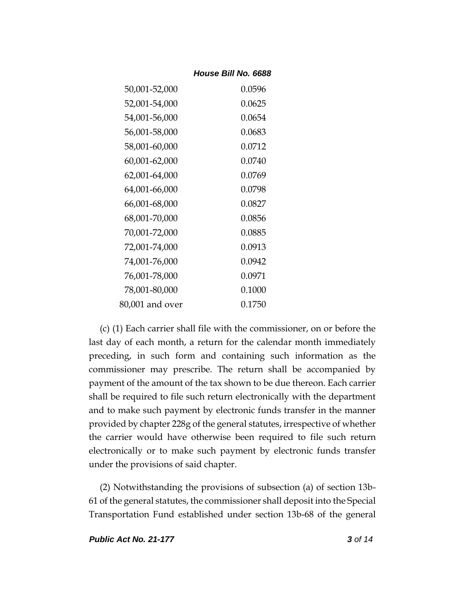| 50,001-52,000   | 0.0596 |
|-----------------|--------|
| 52,001-54,000   | 0.0625 |
| 54,001-56,000   | 0.0654 |
| 56,001-58,000   | 0.0683 |
| 58,001-60,000   | 0.0712 |
| 60,001-62,000   | 0.0740 |
| 62,001-64,000   | 0.0769 |
| 64,001-66,000   | 0.0798 |
| 66,001-68,000   | 0.0827 |
| 68,001-70,000   | 0.0856 |
| 70,001-72,000   | 0.0885 |
| 72,001-74,000   | 0.0913 |
| 74,001-76,000   | 0.0942 |
| 76,001-78,000   | 0.0971 |
| 78,001-80,000   | 0.1000 |
| 80,001 and over | 0.1750 |

(c) (1) Each carrier shall file with the commissioner, on or before the last day of each month, a return for the calendar month immediately preceding, in such form and containing such information as the commissioner may prescribe. The return shall be accompanied by payment of the amount of the tax shown to be due thereon. Each carrier shall be required to file such return electronically with the department and to make such payment by electronic funds transfer in the manner provided by chapter 228g of the general statutes, irrespective of whether the carrier would have otherwise been required to file such return electronically or to make such payment by electronic funds transfer under the provisions of said chapter.

(2) Notwithstanding the provisions of subsection (a) of section 13b-61 of the general statutes, the commissioner shall deposit into the Special Transportation Fund established under section 13b-68 of the general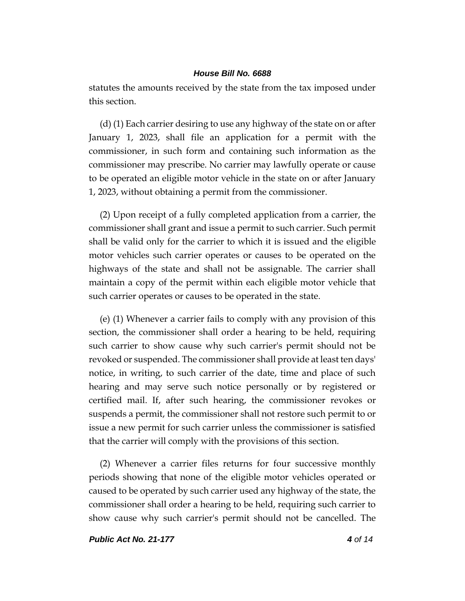statutes the amounts received by the state from the tax imposed under this section.

(d) (1) Each carrier desiring to use any highway of the state on or after January 1, 2023, shall file an application for a permit with the commissioner, in such form and containing such information as the commissioner may prescribe. No carrier may lawfully operate or cause to be operated an eligible motor vehicle in the state on or after January 1, 2023, without obtaining a permit from the commissioner.

(2) Upon receipt of a fully completed application from a carrier, the commissioner shall grant and issue a permit to such carrier. Such permit shall be valid only for the carrier to which it is issued and the eligible motor vehicles such carrier operates or causes to be operated on the highways of the state and shall not be assignable. The carrier shall maintain a copy of the permit within each eligible motor vehicle that such carrier operates or causes to be operated in the state.

(e) (1) Whenever a carrier fails to comply with any provision of this section, the commissioner shall order a hearing to be held, requiring such carrier to show cause why such carrier's permit should not be revoked or suspended. The commissioner shall provide at least ten days' notice, in writing, to such carrier of the date, time and place of such hearing and may serve such notice personally or by registered or certified mail. If, after such hearing, the commissioner revokes or suspends a permit, the commissioner shall not restore such permit to or issue a new permit for such carrier unless the commissioner is satisfied that the carrier will comply with the provisions of this section.

(2) Whenever a carrier files returns for four successive monthly periods showing that none of the eligible motor vehicles operated or caused to be operated by such carrier used any highway of the state, the commissioner shall order a hearing to be held, requiring such carrier to show cause why such carrier's permit should not be cancelled. The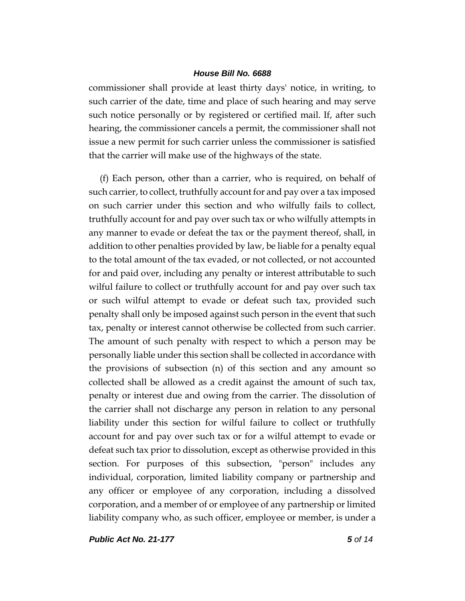commissioner shall provide at least thirty days' notice, in writing, to such carrier of the date, time and place of such hearing and may serve such notice personally or by registered or certified mail. If, after such hearing, the commissioner cancels a permit, the commissioner shall not issue a new permit for such carrier unless the commissioner is satisfied that the carrier will make use of the highways of the state.

(f) Each person, other than a carrier, who is required, on behalf of such carrier, to collect, truthfully account for and pay over a tax imposed on such carrier under this section and who wilfully fails to collect, truthfully account for and pay over such tax or who wilfully attempts in any manner to evade or defeat the tax or the payment thereof, shall, in addition to other penalties provided by law, be liable for a penalty equal to the total amount of the tax evaded, or not collected, or not accounted for and paid over, including any penalty or interest attributable to such wilful failure to collect or truthfully account for and pay over such tax or such wilful attempt to evade or defeat such tax, provided such penalty shall only be imposed against such person in the event that such tax, penalty or interest cannot otherwise be collected from such carrier. The amount of such penalty with respect to which a person may be personally liable under this section shall be collected in accordance with the provisions of subsection (n) of this section and any amount so collected shall be allowed as a credit against the amount of such tax, penalty or interest due and owing from the carrier. The dissolution of the carrier shall not discharge any person in relation to any personal liability under this section for wilful failure to collect or truthfully account for and pay over such tax or for a wilful attempt to evade or defeat such tax prior to dissolution, except as otherwise provided in this section. For purposes of this subsection, "person" includes any individual, corporation, limited liability company or partnership and any officer or employee of any corporation, including a dissolved corporation, and a member of or employee of any partnership or limited liability company who, as such officer, employee or member, is under a

*Public Act No. 21-177 5 of 14*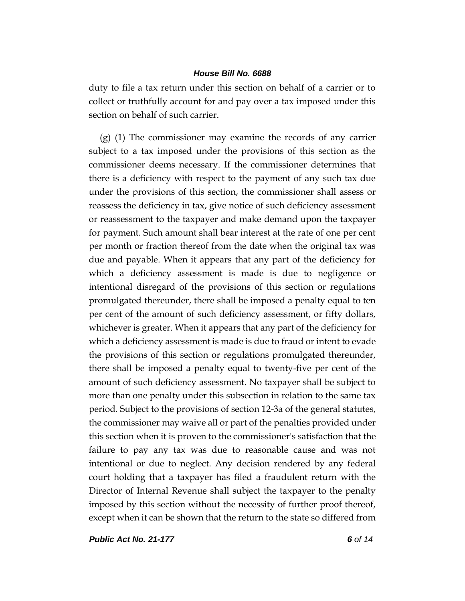duty to file a tax return under this section on behalf of a carrier or to collect or truthfully account for and pay over a tax imposed under this section on behalf of such carrier.

(g) (1) The commissioner may examine the records of any carrier subject to a tax imposed under the provisions of this section as the commissioner deems necessary. If the commissioner determines that there is a deficiency with respect to the payment of any such tax due under the provisions of this section, the commissioner shall assess or reassess the deficiency in tax, give notice of such deficiency assessment or reassessment to the taxpayer and make demand upon the taxpayer for payment. Such amount shall bear interest at the rate of one per cent per month or fraction thereof from the date when the original tax was due and payable. When it appears that any part of the deficiency for which a deficiency assessment is made is due to negligence or intentional disregard of the provisions of this section or regulations promulgated thereunder, there shall be imposed a penalty equal to ten per cent of the amount of such deficiency assessment, or fifty dollars, whichever is greater. When it appears that any part of the deficiency for which a deficiency assessment is made is due to fraud or intent to evade the provisions of this section or regulations promulgated thereunder, there shall be imposed a penalty equal to twenty-five per cent of the amount of such deficiency assessment. No taxpayer shall be subject to more than one penalty under this subsection in relation to the same tax period. Subject to the provisions of section 12-3a of the general statutes, the commissioner may waive all or part of the penalties provided under this section when it is proven to the commissioner's satisfaction that the failure to pay any tax was due to reasonable cause and was not intentional or due to neglect. Any decision rendered by any federal court holding that a taxpayer has filed a fraudulent return with the Director of Internal Revenue shall subject the taxpayer to the penalty imposed by this section without the necessity of further proof thereof, except when it can be shown that the return to the state so differed from

*Public Act No. 21-177 6 of 14*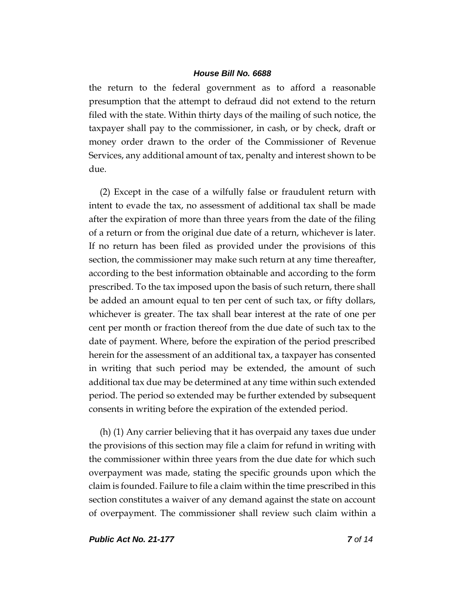the return to the federal government as to afford a reasonable presumption that the attempt to defraud did not extend to the return filed with the state. Within thirty days of the mailing of such notice, the taxpayer shall pay to the commissioner, in cash, or by check, draft or money order drawn to the order of the Commissioner of Revenue Services, any additional amount of tax, penalty and interest shown to be due.

(2) Except in the case of a wilfully false or fraudulent return with intent to evade the tax, no assessment of additional tax shall be made after the expiration of more than three years from the date of the filing of a return or from the original due date of a return, whichever is later. If no return has been filed as provided under the provisions of this section, the commissioner may make such return at any time thereafter, according to the best information obtainable and according to the form prescribed. To the tax imposed upon the basis of such return, there shall be added an amount equal to ten per cent of such tax, or fifty dollars, whichever is greater. The tax shall bear interest at the rate of one per cent per month or fraction thereof from the due date of such tax to the date of payment. Where, before the expiration of the period prescribed herein for the assessment of an additional tax, a taxpayer has consented in writing that such period may be extended, the amount of such additional tax due may be determined at any time within such extended period. The period so extended may be further extended by subsequent consents in writing before the expiration of the extended period.

(h) (1) Any carrier believing that it has overpaid any taxes due under the provisions of this section may file a claim for refund in writing with the commissioner within three years from the due date for which such overpayment was made, stating the specific grounds upon which the claim is founded. Failure to file a claim within the time prescribed in this section constitutes a waiver of any demand against the state on account of overpayment. The commissioner shall review such claim within a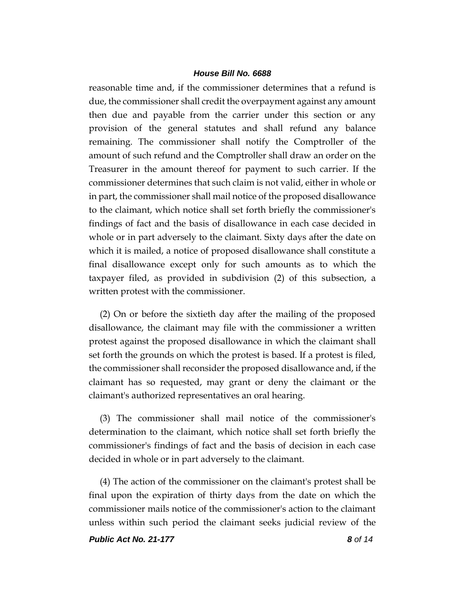reasonable time and, if the commissioner determines that a refund is due, the commissioner shall credit the overpayment against any amount then due and payable from the carrier under this section or any provision of the general statutes and shall refund any balance remaining. The commissioner shall notify the Comptroller of the amount of such refund and the Comptroller shall draw an order on the Treasurer in the amount thereof for payment to such carrier. If the commissioner determines that such claim is not valid, either in whole or in part, the commissioner shall mail notice of the proposed disallowance to the claimant, which notice shall set forth briefly the commissioner's findings of fact and the basis of disallowance in each case decided in whole or in part adversely to the claimant. Sixty days after the date on which it is mailed, a notice of proposed disallowance shall constitute a final disallowance except only for such amounts as to which the taxpayer filed, as provided in subdivision (2) of this subsection, a written protest with the commissioner.

(2) On or before the sixtieth day after the mailing of the proposed disallowance, the claimant may file with the commissioner a written protest against the proposed disallowance in which the claimant shall set forth the grounds on which the protest is based. If a protest is filed, the commissioner shall reconsider the proposed disallowance and, if the claimant has so requested, may grant or deny the claimant or the claimant's authorized representatives an oral hearing.

(3) The commissioner shall mail notice of the commissioner's determination to the claimant, which notice shall set forth briefly the commissioner's findings of fact and the basis of decision in each case decided in whole or in part adversely to the claimant.

(4) The action of the commissioner on the claimant's protest shall be final upon the expiration of thirty days from the date on which the commissioner mails notice of the commissioner's action to the claimant unless within such period the claimant seeks judicial review of the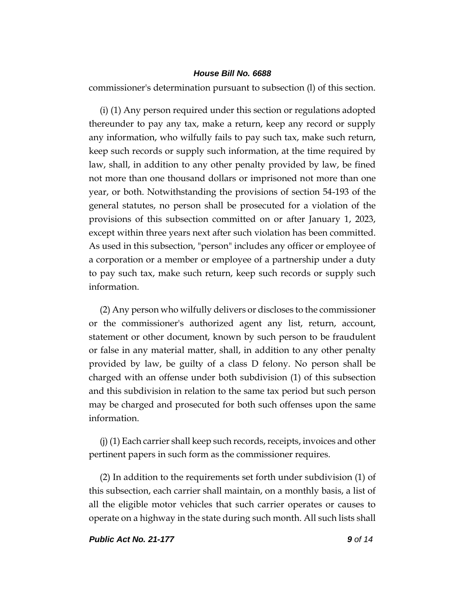commissioner's determination pursuant to subsection (l) of this section.

(i) (1) Any person required under this section or regulations adopted thereunder to pay any tax, make a return, keep any record or supply any information, who wilfully fails to pay such tax, make such return, keep such records or supply such information, at the time required by law, shall, in addition to any other penalty provided by law, be fined not more than one thousand dollars or imprisoned not more than one year, or both. Notwithstanding the provisions of section 54-193 of the general statutes, no person shall be prosecuted for a violation of the provisions of this subsection committed on or after January 1, 2023, except within three years next after such violation has been committed. As used in this subsection, "person" includes any officer or employee of a corporation or a member or employee of a partnership under a duty to pay such tax, make such return, keep such records or supply such information.

(2) Any person who wilfully delivers or discloses to the commissioner or the commissioner's authorized agent any list, return, account, statement or other document, known by such person to be fraudulent or false in any material matter, shall, in addition to any other penalty provided by law, be guilty of a class D felony. No person shall be charged with an offense under both subdivision (1) of this subsection and this subdivision in relation to the same tax period but such person may be charged and prosecuted for both such offenses upon the same information.

(j) (1) Each carrier shall keep such records, receipts, invoices and other pertinent papers in such form as the commissioner requires.

(2) In addition to the requirements set forth under subdivision (1) of this subsection, each carrier shall maintain, on a monthly basis, a list of all the eligible motor vehicles that such carrier operates or causes to operate on a highway in the state during such month. All such lists shall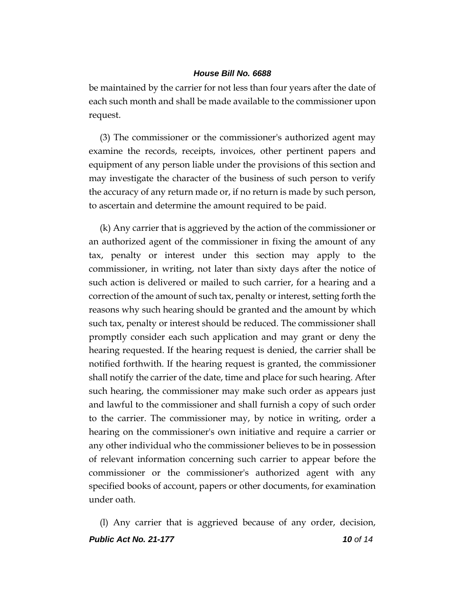be maintained by the carrier for not less than four years after the date of each such month and shall be made available to the commissioner upon request.

(3) The commissioner or the commissioner's authorized agent may examine the records, receipts, invoices, other pertinent papers and equipment of any person liable under the provisions of this section and may investigate the character of the business of such person to verify the accuracy of any return made or, if no return is made by such person, to ascertain and determine the amount required to be paid.

(k) Any carrier that is aggrieved by the action of the commissioner or an authorized agent of the commissioner in fixing the amount of any tax, penalty or interest under this section may apply to the commissioner, in writing, not later than sixty days after the notice of such action is delivered or mailed to such carrier, for a hearing and a correction of the amount of such tax, penalty or interest, setting forth the reasons why such hearing should be granted and the amount by which such tax, penalty or interest should be reduced. The commissioner shall promptly consider each such application and may grant or deny the hearing requested. If the hearing request is denied, the carrier shall be notified forthwith. If the hearing request is granted, the commissioner shall notify the carrier of the date, time and place for such hearing. After such hearing, the commissioner may make such order as appears just and lawful to the commissioner and shall furnish a copy of such order to the carrier. The commissioner may, by notice in writing, order a hearing on the commissioner's own initiative and require a carrier or any other individual who the commissioner believes to be in possession of relevant information concerning such carrier to appear before the commissioner or the commissioner's authorized agent with any specified books of account, papers or other documents, for examination under oath.

*Public Act No. 21-177 10 of 14* (l) Any carrier that is aggrieved because of any order, decision,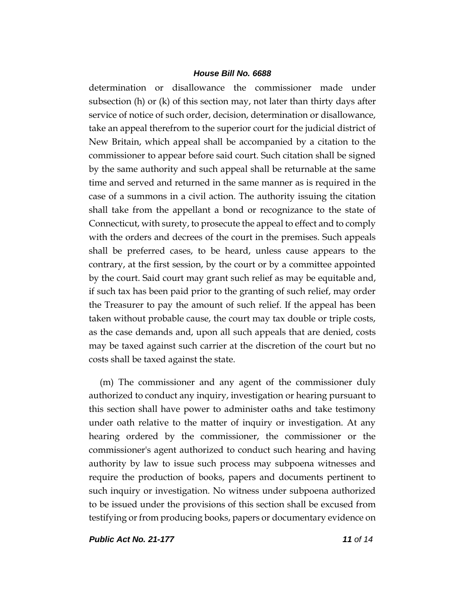determination or disallowance the commissioner made under subsection (h) or (k) of this section may, not later than thirty days after service of notice of such order, decision, determination or disallowance, take an appeal therefrom to the superior court for the judicial district of New Britain, which appeal shall be accompanied by a citation to the commissioner to appear before said court. Such citation shall be signed by the same authority and such appeal shall be returnable at the same time and served and returned in the same manner as is required in the case of a summons in a civil action. The authority issuing the citation shall take from the appellant a bond or recognizance to the state of Connecticut, with surety, to prosecute the appeal to effect and to comply with the orders and decrees of the court in the premises. Such appeals shall be preferred cases, to be heard, unless cause appears to the contrary, at the first session, by the court or by a committee appointed by the court. Said court may grant such relief as may be equitable and, if such tax has been paid prior to the granting of such relief, may order the Treasurer to pay the amount of such relief. If the appeal has been taken without probable cause, the court may tax double or triple costs, as the case demands and, upon all such appeals that are denied, costs may be taxed against such carrier at the discretion of the court but no costs shall be taxed against the state.

(m) The commissioner and any agent of the commissioner duly authorized to conduct any inquiry, investigation or hearing pursuant to this section shall have power to administer oaths and take testimony under oath relative to the matter of inquiry or investigation. At any hearing ordered by the commissioner, the commissioner or the commissioner's agent authorized to conduct such hearing and having authority by law to issue such process may subpoena witnesses and require the production of books, papers and documents pertinent to such inquiry or investigation. No witness under subpoena authorized to be issued under the provisions of this section shall be excused from testifying or from producing books, papers or documentary evidence on

*Public Act No. 21-177 11 of 14*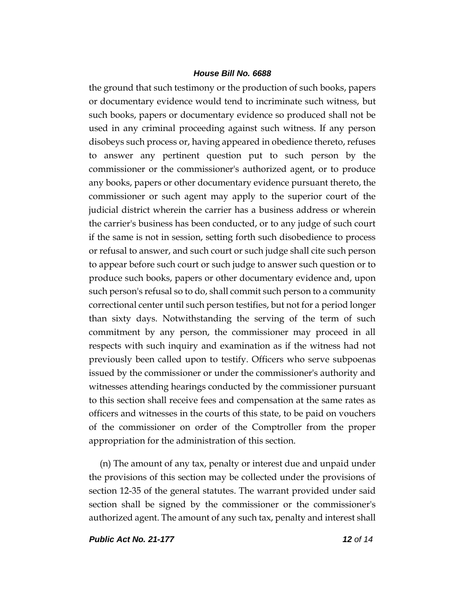the ground that such testimony or the production of such books, papers or documentary evidence would tend to incriminate such witness, but such books, papers or documentary evidence so produced shall not be used in any criminal proceeding against such witness. If any person disobeys such process or, having appeared in obedience thereto, refuses to answer any pertinent question put to such person by the commissioner or the commissioner's authorized agent, or to produce any books, papers or other documentary evidence pursuant thereto, the commissioner or such agent may apply to the superior court of the judicial district wherein the carrier has a business address or wherein the carrier's business has been conducted, or to any judge of such court if the same is not in session, setting forth such disobedience to process or refusal to answer, and such court or such judge shall cite such person to appear before such court or such judge to answer such question or to produce such books, papers or other documentary evidence and, upon such person's refusal so to do, shall commit such person to a community correctional center until such person testifies, but not for a period longer than sixty days. Notwithstanding the serving of the term of such commitment by any person, the commissioner may proceed in all respects with such inquiry and examination as if the witness had not previously been called upon to testify. Officers who serve subpoenas issued by the commissioner or under the commissioner's authority and witnesses attending hearings conducted by the commissioner pursuant to this section shall receive fees and compensation at the same rates as officers and witnesses in the courts of this state, to be paid on vouchers of the commissioner on order of the Comptroller from the proper appropriation for the administration of this section.

(n) The amount of any tax, penalty or interest due and unpaid under the provisions of this section may be collected under the provisions of section 12-35 of the general statutes. The warrant provided under said section shall be signed by the commissioner or the commissioner's authorized agent. The amount of any such tax, penalty and interest shall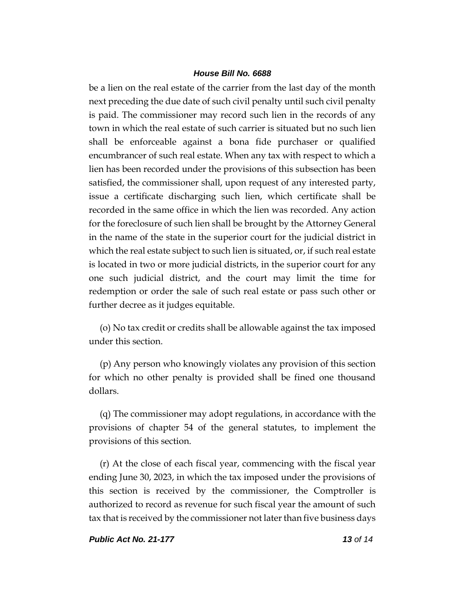be a lien on the real estate of the carrier from the last day of the month next preceding the due date of such civil penalty until such civil penalty is paid. The commissioner may record such lien in the records of any town in which the real estate of such carrier is situated but no such lien shall be enforceable against a bona fide purchaser or qualified encumbrancer of such real estate. When any tax with respect to which a lien has been recorded under the provisions of this subsection has been satisfied, the commissioner shall, upon request of any interested party, issue a certificate discharging such lien, which certificate shall be recorded in the same office in which the lien was recorded. Any action for the foreclosure of such lien shall be brought by the Attorney General in the name of the state in the superior court for the judicial district in which the real estate subject to such lien is situated, or, if such real estate is located in two or more judicial districts, in the superior court for any one such judicial district, and the court may limit the time for redemption or order the sale of such real estate or pass such other or further decree as it judges equitable.

(o) No tax credit or credits shall be allowable against the tax imposed under this section.

(p) Any person who knowingly violates any provision of this section for which no other penalty is provided shall be fined one thousand dollars.

(q) The commissioner may adopt regulations, in accordance with the provisions of chapter 54 of the general statutes, to implement the provisions of this section.

(r) At the close of each fiscal year, commencing with the fiscal year ending June 30, 2023, in which the tax imposed under the provisions of this section is received by the commissioner, the Comptroller is authorized to record as revenue for such fiscal year the amount of such tax that is received by the commissioner not later than five business days